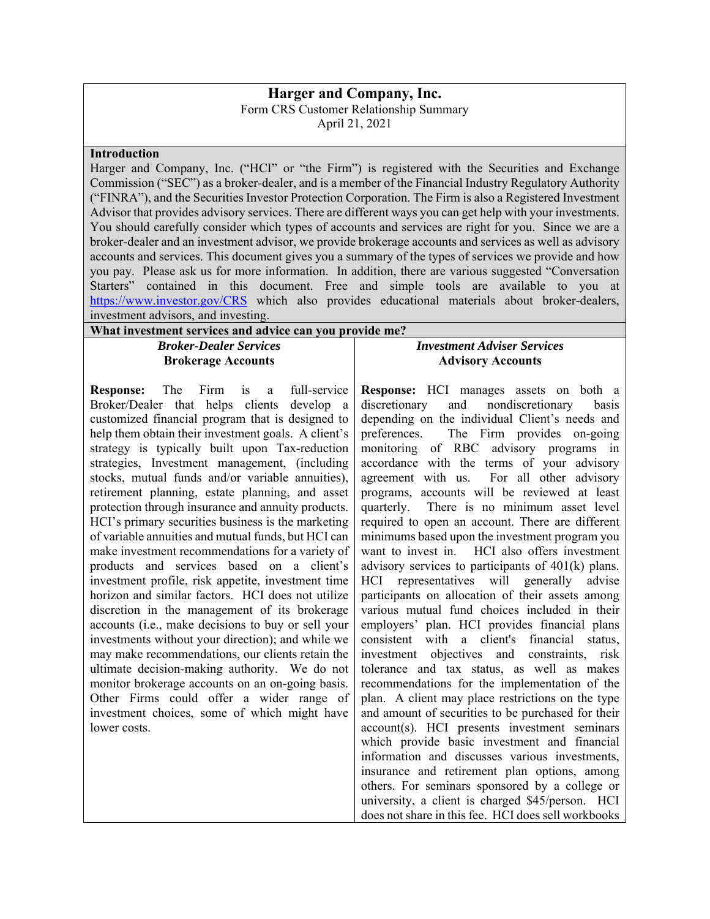## **Harger and Company, Inc.**

Form CRS Customer Relationship Summary

April 21, 2021

## **Introduction**

Harger and Company, Inc. ("HCI" or "the Firm") is registered with the Securities and Exchange Commission ("SEC") as a broker-dealer, and is a member of the Financial Industry Regulatory Authority ("FINRA"), and the Securities Investor Protection Corporation. The Firm is also a Registered Investment Advisor that provides advisory services. There are different ways you can get help with your investments. You should carefully consider which types of accounts and services are right for you. Since we are a broker-dealer and an investment advisor, we provide brokerage accounts and services as well as advisory accounts and services. This document gives you a summary of the types of services we provide and how you pay. Please ask us for more information. In addition, there are various suggested "Conversation Starters" contained in this document. Free and simple tools are available to you at https://www.investor.gov/CRS which also provides educational materials about broker-dealers, investment advisors, and investing.

| What investment services and advice can you provide me? |  |
|---------------------------------------------------------|--|
| <b>Broker-Dealer Services</b>                           |  |
| <b>Brokerage Accounts</b>                               |  |

**Response:** The Firm is a full-service Broker/Dealer that helps clients develop a customized financial program that is designed to help them obtain their investment goals. A client's strategy is typically built upon Tax-reduction strategies, Investment management, (including stocks, mutual funds and/or variable annuities), retirement planning, estate planning, and asset protection through insurance and annuity products. HCI's primary securities business is the marketing of variable annuities and mutual funds, but HCI can make investment recommendations for a variety of products and services based on a client's investment profile, risk appetite, investment time horizon and similar factors. HCI does not utilize discretion in the management of its brokerage accounts (i.e., make decisions to buy or sell your investments without your direction); and while we may make recommendations, our clients retain the ultimate decision-making authority. We do not monitor brokerage accounts on an on-going basis. Other Firms could offer a wider range of investment choices, some of which might have lower costs.

## *Investment Adviser Services*  **Advisory Accounts**

**Response:** HCI manages assets on both a discretionary and nondiscretionary basis depending on the individual Client's needs and preferences. The Firm provides on-going monitoring of RBC advisory programs in accordance with the terms of your advisory agreement with us. For all other advisory programs, accounts will be reviewed at least quarterly. There is no minimum asset level required to open an account. There are different minimums based upon the investment program you want to invest in. HCI also offers investment advisory services to participants of 401(k) plans. HCI representatives will generally advise participants on allocation of their assets among various mutual fund choices included in their employers' plan. HCI provides financial plans consistent with a client's financial status, investment objectives and constraints, risk tolerance and tax status, as well as makes recommendations for the implementation of the plan. A client may place restrictions on the type and amount of securities to be purchased for their account(s). HCI presents investment seminars which provide basic investment and financial information and discusses various investments, insurance and retirement plan options, among others. For seminars sponsored by a college or university, a client is charged \$45/person. HCI does not share in this fee. HCI does sell workbooks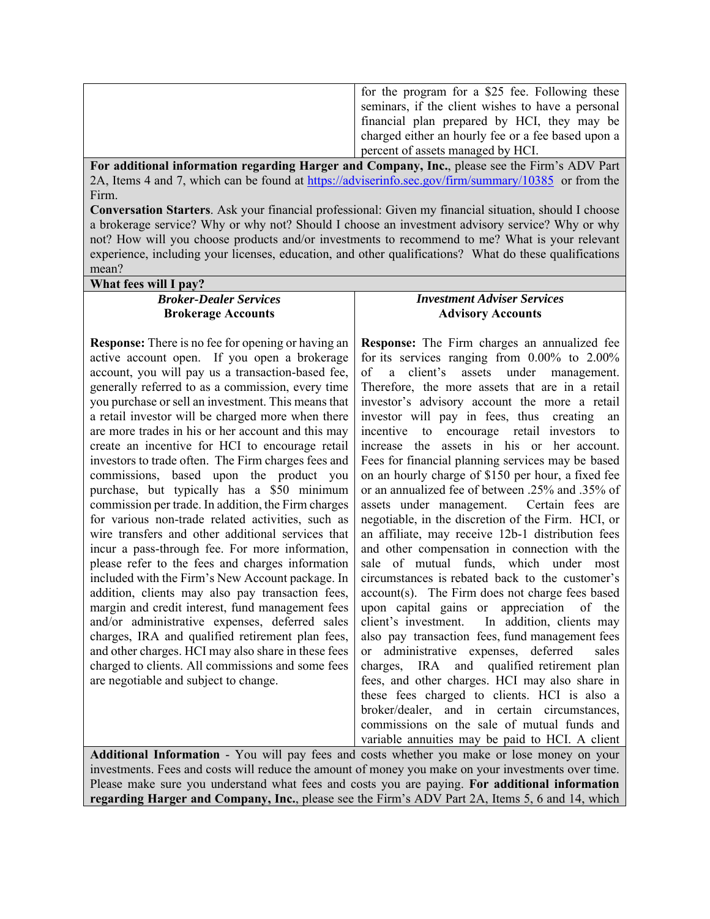| for the program for a \$25 fee. Following these    |
|----------------------------------------------------|
| seminars, if the client wishes to have a personal  |
| financial plan prepared by HCI, they may be        |
| charged either an hourly fee or a fee based upon a |
| percent of assets managed by HCI.                  |

**For additional information regarding Harger and Company, Inc.**, please see the Firm's ADV Part 2A, Items 4 and 7, which can be found at https://adviserinfo.sec.gov/firm/summary/10385 or from the Firm.

**Conversation Starters**. Ask your financial professional: Given my financial situation, should I choose a brokerage service? Why or why not? Should I choose an investment advisory service? Why or why not? How will you choose products and/or investments to recommend to me? What is your relevant experience, including your licenses, education, and other qualifications? What do these qualifications mean?

| What fees will I pay?                                                                                                                                                                                                                                                                                                                                                                                                                                                                                                                                                                                                                                                                                                                                                                                                                                                                                                                                                                                                                                                                                                                                                                                                                                                                   |                                                                                                                                                                                                                                                                                                                                                                                                                                                                                                                                                                                                                                                                                                                                                                                                                                                                                                                                                                                                                                                                                                                                                                                                                                                                                                                                           |  |
|-----------------------------------------------------------------------------------------------------------------------------------------------------------------------------------------------------------------------------------------------------------------------------------------------------------------------------------------------------------------------------------------------------------------------------------------------------------------------------------------------------------------------------------------------------------------------------------------------------------------------------------------------------------------------------------------------------------------------------------------------------------------------------------------------------------------------------------------------------------------------------------------------------------------------------------------------------------------------------------------------------------------------------------------------------------------------------------------------------------------------------------------------------------------------------------------------------------------------------------------------------------------------------------------|-------------------------------------------------------------------------------------------------------------------------------------------------------------------------------------------------------------------------------------------------------------------------------------------------------------------------------------------------------------------------------------------------------------------------------------------------------------------------------------------------------------------------------------------------------------------------------------------------------------------------------------------------------------------------------------------------------------------------------------------------------------------------------------------------------------------------------------------------------------------------------------------------------------------------------------------------------------------------------------------------------------------------------------------------------------------------------------------------------------------------------------------------------------------------------------------------------------------------------------------------------------------------------------------------------------------------------------------|--|
| <b>Broker-Dealer Services</b>                                                                                                                                                                                                                                                                                                                                                                                                                                                                                                                                                                                                                                                                                                                                                                                                                                                                                                                                                                                                                                                                                                                                                                                                                                                           | <b>Investment Adviser Services</b>                                                                                                                                                                                                                                                                                                                                                                                                                                                                                                                                                                                                                                                                                                                                                                                                                                                                                                                                                                                                                                                                                                                                                                                                                                                                                                        |  |
| <b>Brokerage Accounts</b>                                                                                                                                                                                                                                                                                                                                                                                                                                                                                                                                                                                                                                                                                                                                                                                                                                                                                                                                                                                                                                                                                                                                                                                                                                                               | <b>Advisory Accounts</b>                                                                                                                                                                                                                                                                                                                                                                                                                                                                                                                                                                                                                                                                                                                                                                                                                                                                                                                                                                                                                                                                                                                                                                                                                                                                                                                  |  |
| <b>Response:</b> There is no fee for opening or having an<br>active account open. If you open a brokerage<br>account, you will pay us a transaction-based fee,<br>generally referred to as a commission, every time<br>you purchase or sell an investment. This means that<br>a retail investor will be charged more when there<br>are more trades in his or her account and this may<br>create an incentive for HCI to encourage retail<br>investors to trade often. The Firm charges fees and<br>commissions, based upon the product you<br>purchase, but typically has a \$50 minimum<br>commission per trade. In addition, the Firm charges<br>for various non-trade related activities, such as<br>wire transfers and other additional services that<br>incur a pass-through fee. For more information,<br>please refer to the fees and charges information<br>included with the Firm's New Account package. In<br>addition, clients may also pay transaction fees,<br>margin and credit interest, fund management fees<br>and/or administrative expenses, deferred sales<br>charges, IRA and qualified retirement plan fees,<br>and other charges. HCI may also share in these fees<br>charged to clients. All commissions and some fees<br>are negotiable and subject to change. | Response: The Firm charges an annualized fee<br>for its services ranging from $0.00\%$ to $2.00\%$<br>client's<br>assets under management.<br>of<br>a a<br>Therefore, the more assets that are in a retail<br>investor's advisory account the more a retail<br>investor will pay in fees, thus creating<br>an<br>incentive to encourage retail investors<br>to<br>increase the assets in his or her account.<br>Fees for financial planning services may be based<br>on an hourly charge of \$150 per hour, a fixed fee<br>or an annualized fee of between .25% and .35% of<br>assets under management. Certain fees are<br>negotiable, in the discretion of the Firm. HCI, or<br>an affiliate, may receive 12b-1 distribution fees<br>and other compensation in connection with the<br>sale of mutual funds, which under most<br>circumstances is rebated back to the customer's<br>account(s). The Firm does not charge fees based<br>upon capital gains or appreciation of the<br>client's investment. In addition, clients may<br>also pay transaction fees, fund management fees<br>administrative expenses, deferred<br>sales<br>or<br>charges, IRA and qualified retirement plan<br>fees, and other charges. HCI may also share in<br>these fees charged to clients. HCI is also a<br>broker/dealer, and in certain circumstances, |  |
|                                                                                                                                                                                                                                                                                                                                                                                                                                                                                                                                                                                                                                                                                                                                                                                                                                                                                                                                                                                                                                                                                                                                                                                                                                                                                         | commissions on the sale of mutual funds and                                                                                                                                                                                                                                                                                                                                                                                                                                                                                                                                                                                                                                                                                                                                                                                                                                                                                                                                                                                                                                                                                                                                                                                                                                                                                               |  |

variable annuities may be paid to HCI. A client Additional Information - You will pay fees and costs whether you make or lose money on your investments. Fees and costs will reduce the amount of money you make on your investments over time. Please make sure you understand what fees and costs you are paying. **For additional information regarding Harger and Company, Inc.**, please see the Firm's ADV Part 2A, Items 5, 6 and 14, which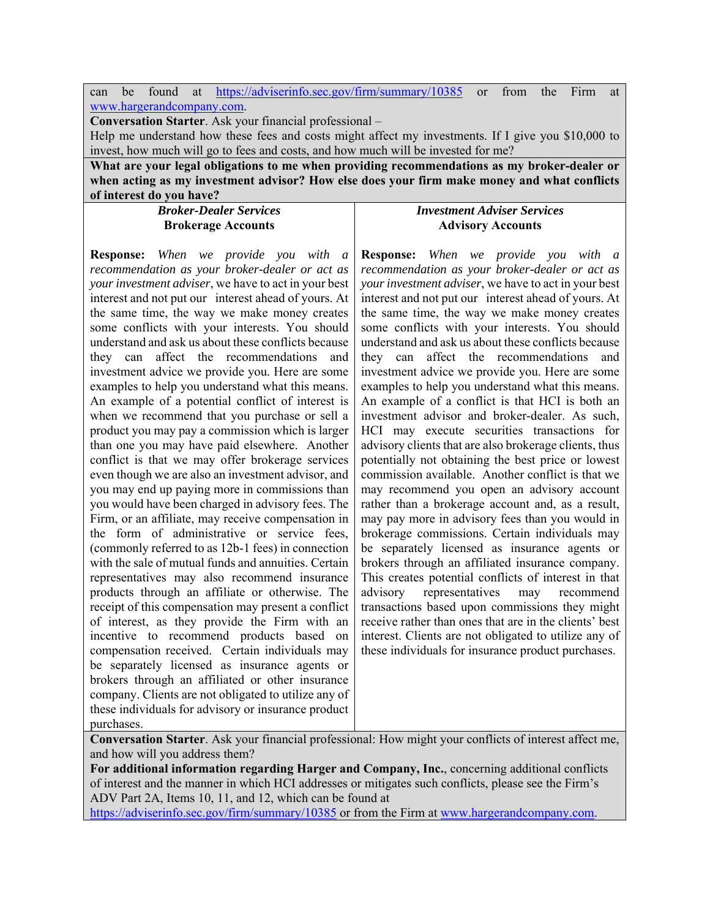can be found at https://adviserinfo.sec.gov/firm/summary/10385 or from the Firm at www.hargerandcompany.com.

**Conversation Starter**. Ask your financial professional –

Help me understand how these fees and costs might affect my investments. If I give you \$10,000 to invest, how much will go to fees and costs, and how much will be invested for me?

**What are your legal obligations to me when providing recommendations as my broker-dealer or when acting as my investment advisor? How else does your firm make money and what conflicts of interest do you have?** 

> *Broker-Dealer Services*  **Brokerage Accounts**

**Response:** *When we provide you with a recommendation as your broker-dealer or act as your investment adviser*, we have to act in your best interest and not put our interest ahead of yours. At the same time, the way we make money creates some conflicts with your interests. You should understand and ask us about these conflicts because they can affect the recommendations and investment advice we provide you. Here are some examples to help you understand what this means. An example of a potential conflict of interest is when we recommend that you purchase or sell a product you may pay a commission which is larger than one you may have paid elsewhere. Another conflict is that we may offer brokerage services even though we are also an investment advisor, and you may end up paying more in commissions than you would have been charged in advisory fees. The Firm, or an affiliate, may receive compensation in the form of administrative or service fees, (commonly referred to as 12b-1 fees) in connection with the sale of mutual funds and annuities. Certain representatives may also recommend insurance products through an affiliate or otherwise. The receipt of this compensation may present a conflict of interest, as they provide the Firm with an incentive to recommend products based on compensation received. Certain individuals may be separately licensed as insurance agents or brokers through an affiliated or other insurance company. Clients are not obligated to utilize any of these individuals for advisory or insurance product purchases.

## *Investment Adviser Services*  **Advisory Accounts**

**Response:** *When we provide you with a recommendation as your broker-dealer or act as your investment adviser*, we have to act in your best interest and not put our interest ahead of yours. At the same time, the way we make money creates some conflicts with your interests. You should understand and ask us about these conflicts because they can affect the recommendations and investment advice we provide you. Here are some examples to help you understand what this means. An example of a conflict is that HCI is both an investment advisor and broker-dealer. As such, HCI may execute securities transactions for advisory clients that are also brokerage clients, thus potentially not obtaining the best price or lowest commission available. Another conflict is that we may recommend you open an advisory account rather than a brokerage account and, as a result, may pay more in advisory fees than you would in brokerage commissions. Certain individuals may be separately licensed as insurance agents or brokers through an affiliated insurance company. This creates potential conflicts of interest in that advisory representatives may recommend transactions based upon commissions they might receive rather than ones that are in the clients' best interest. Clients are not obligated to utilize any of these individuals for insurance product purchases.

**Conversation Starter**. Ask your financial professional: How might your conflicts of interest affect me, and how will you address them?

**For additional information regarding Harger and Company, Inc.**, concerning additional conflicts of interest and the manner in which HCI addresses or mitigates such conflicts, please see the Firm's ADV Part 2A, Items 10, 11, and 12, which can be found at

https://adviserinfo.sec.gov/firm/summary/10385 or from the Firm at www.hargerandcompany.com.